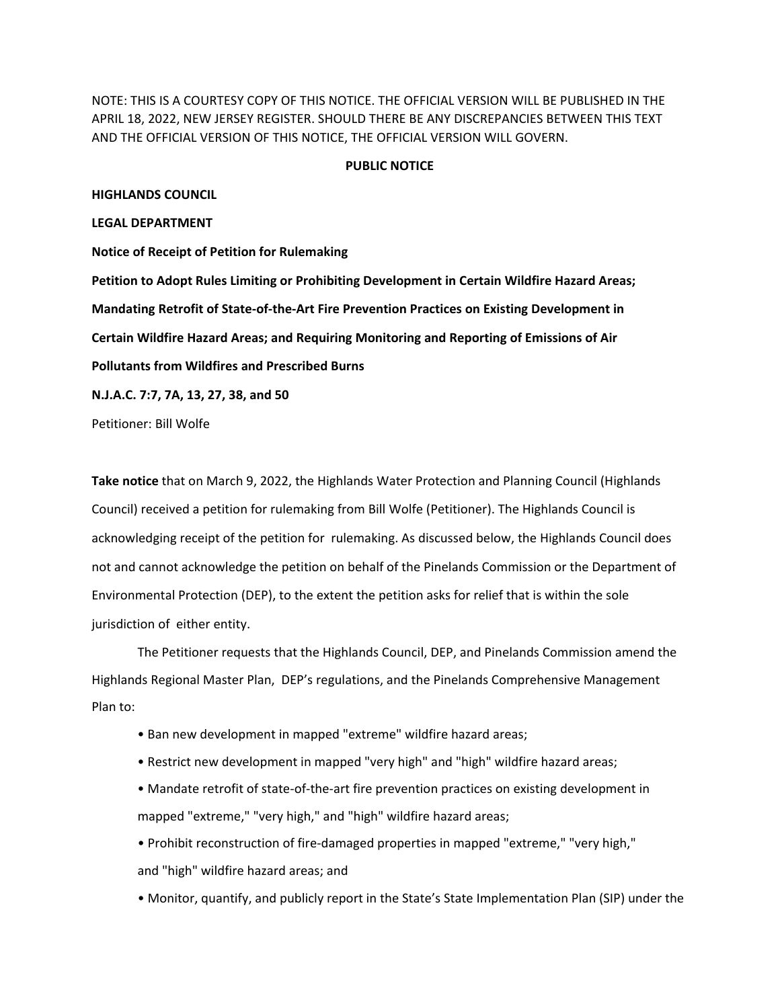NOTE: THIS IS A COURTESY COPY OF THIS NOTICE. THE OFFICIAL VERSION WILL BE PUBLISHED IN THE APRIL 18, 2022, NEW JERSEY REGISTER. SHOULD THERE BE ANY DISCREPANCIES BETWEEN THIS TEXT AND THE OFFICIAL VERSION OF THIS NOTICE, THE OFFICIAL VERSION WILL GOVERN.

## **PUBLIC NOTICE**

## **HIGHLANDS COUNCIL**

## **LEGAL DEPARTMENT**

**Notice of Receipt of Petition for Rulemaking Petition to Adopt Rules Limiting or Prohibiting Development in Certain Wildfire Hazard Areas; Mandating Retrofit of State-of-the-Art Fire Prevention Practices on Existing Development in Certain Wildfire Hazard Areas; and Requiring Monitoring and Reporting of Emissions of Air Pollutants from Wildfires and Prescribed Burns N.J.A.C. 7:7, 7A, 13, 27, 38, and 50**

Petitioner: Bill Wolfe

**Take notice** that on March 9, 2022, the Highlands Water Protection and Planning Council (Highlands Council) received a petition for rulemaking from Bill Wolfe (Petitioner). The Highlands Council is acknowledging receipt of the petition for rulemaking. As discussed below, the Highlands Council does not and cannot acknowledge the petition on behalf of the Pinelands Commission or the Department of Environmental Protection (DEP), to the extent the petition asks for relief that is within the sole jurisdiction of either entity.

The Petitioner requests that the Highlands Council, DEP, and Pinelands Commission amend the Highlands Regional Master Plan, DEP's regulations, and the Pinelands Comprehensive Management Plan to:

- Ban new development in mapped "extreme" wildfire hazard areas;
- Restrict new development in mapped "very high" and "high" wildfire hazard areas;
- Mandate retrofit of state-of-the-art fire prevention practices on existing development in mapped "extreme," "very high," and "high" wildfire hazard areas;

• Prohibit reconstruction of fire-damaged properties in mapped "extreme," "very high," and "high" wildfire hazard areas; and

• Monitor, quantify, and publicly report in the State's State Implementation Plan (SIP) under the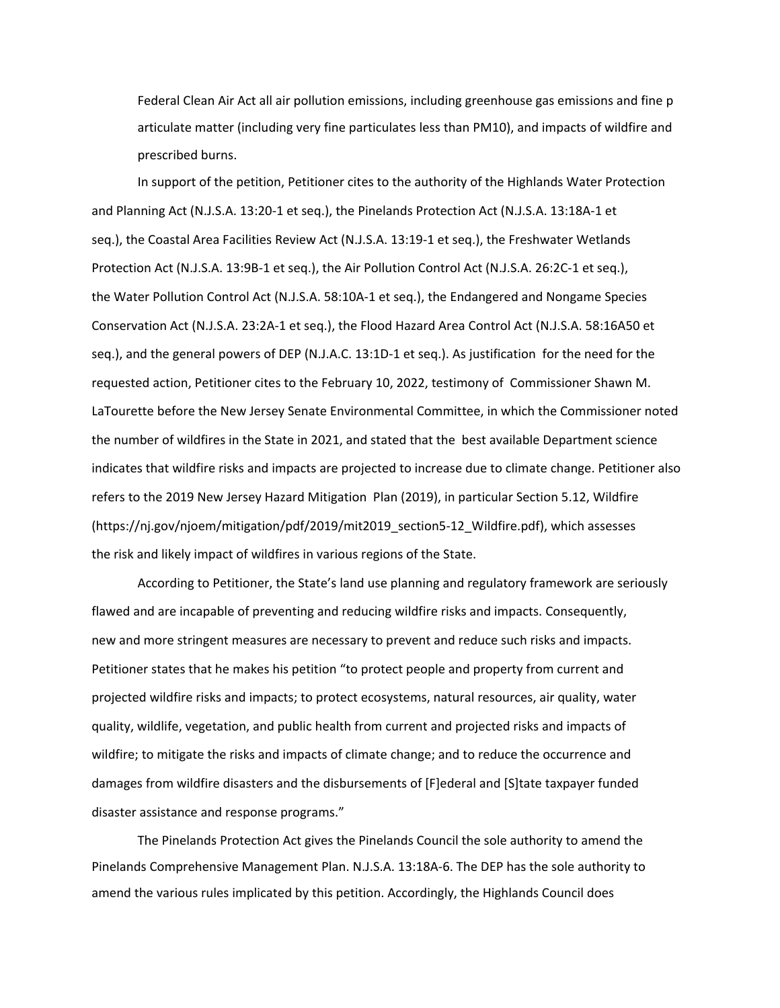Federal Clean Air Act all air pollution emissions, including greenhouse gas emissions and fine p articulate matter (including very fine particulates less than PM10), and impacts of wildfire and prescribed burns.

In support of the petition, Petitioner cites to the authority of the Highlands Water Protection and Planning Act (N.J.S.A. 13:20-1 et seq.), the Pinelands Protection Act (N.J.S.A. 13:18A-1 et seq.), the Coastal Area Facilities Review Act (N.J.S.A. 13:19-1 et seq.), the Freshwater Wetlands Protection Act (N.J.S.A. 13:9B-1 et seq.), the Air Pollution Control Act (N.J.S.A. 26:2C-1 et seq.), the Water Pollution Control Act (N.J.S.A. 58:10A-1 et seq.), the Endangered and Nongame Species Conservation Act (N.J.S.A. 23:2A-1 et seq.), the Flood Hazard Area Control Act (N.J.S.A. 58:16A50 et seq.), and the general powers of DEP (N.J.A.C. 13:1D-1 et seq.). As justification for the need for the requested action, Petitioner cites to the February 10, 2022, testimony of Commissioner Shawn M. LaTourette before the New Jersey Senate Environmental Committee, in which the Commissioner noted the number of wildfires in the State in 2021, and stated that the best available Department science indicates that wildfire risks and impacts are projected to increase due to climate change. Petitioner also refers to the 2019 New Jersey Hazard Mitigation Plan (2019), in particular Section 5.12, Wildfire (https://nj.gov/njoem/mitigation/pdf/2019/mit2019\_section5-12\_Wildfire.pdf), which assesses the risk and likely impact of wildfires in various regions of the State.

According to Petitioner, the State's land use planning and regulatory framework are seriously flawed and are incapable of preventing and reducing wildfire risks and impacts. Consequently, new and more stringent measures are necessary to prevent and reduce such risks and impacts. Petitioner states that he makes his petition "to protect people and property from current and projected wildfire risks and impacts; to protect ecosystems, natural resources, air quality, water quality, wildlife, vegetation, and public health from current and projected risks and impacts of wildfire; to mitigate the risks and impacts of climate change; and to reduce the occurrence and damages from wildfire disasters and the disbursements of [F]ederal and [S]tate taxpayer funded disaster assistance and response programs."

The Pinelands Protection Act gives the Pinelands Council the sole authority to amend the Pinelands Comprehensive Management Plan. N.J.S.A. 13:18A-6. The DEP has the sole authority to amend the various rules implicated by this petition. Accordingly, the Highlands Council does